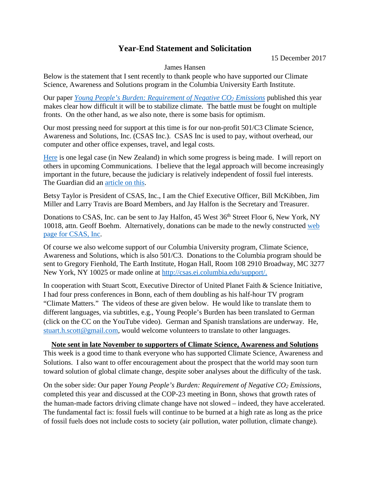## **Year-End Statement and Solicitation**

15 December 2017

## James Hansen

Below is the statement that I sent recently to thank people who have supported our Climate Science, Awareness and Solutions program in the Columbia University Earth Institute.

Our paper *[Young People's Burden: Requirement of Negative CO2](https://www.earth-syst-dynam.net/8/577/2017/esd-8-577-2017.pdf) Emissions* published this year makes clear how difficult it will be to stabilize climate. The battle must be fought on multiple fronts. On the other hand, as we also note, there is some basis for optimism.

Our most pressing need for support at this time is for our non-profit 501/C3 Climate Science, Awareness and Solutions, Inc. (CSAS Inc.). CSAS Inc is used to pay, without overhead, our computer and other office expenses, travel, and legal costs.

[Here](http://www.columbia.edu/%7Ejeh1/2017/20171211_NewZealandCase.pdf) is one legal case (in New Zealand) in which some progress is being made. I will report on others in upcoming Communications. I believe that the legal approach will become increasingly important in the future, because the judiciary is relatively independent of fossil fuel interests. The Guardian did an [article on this.](https://www.theguardian.com/environment/2017/nov/17/we-should-be-on-the-offensive-james-hansen-calls-for-wave-of-climate-lawsuits)

Betsy Taylor is President of CSAS, Inc., I am the Chief Executive Officer, Bill McKibben, Jim Miller and Larry Travis are Board Members, and Jay Halfon is the Secretary and Treasurer.

Donations to CSAS, Inc. can be sent to Jay Halfon, 45 West 36<sup>th</sup> Street Floor 6, New York, NY 10018, attn. Geoff Boehm. Alternatively, donations can be made to the newly constructed web [page for CSAS, Inc.](https://www.climatescienceawarenesssolutions.org/)

Of course we also welcome support of our Columbia University program, Climate Science, Awareness and Solutions, which is also 501/C3. Donations to the Columbia program should be sent to Gregory Fienhold, The Earth Institute, Hogan Hall, Room 108 2910 Broadway, MC 3277 New York, NY 10025 or made online at [http://csas.ei.columbia.edu/support/.](http://csas.ei.columbia.edu/support/)

In cooperation with Stuart Scott, Executive Director of United Planet Faith & Science Initiative, I had four press conferences in Bonn, each of them doubling as his half-hour TV program "Climate Matters." The videos of these are given below. He would like to translate them to different languages, via subtitles, e.g., Young People's Burden has been translated to German (click on the CC on the YouTube video). German and Spanish translations are underway. He, [stuart.h.scott@gmail.com,](mailto:stuart.h.scott@gmail.com) would welcome volunteers to translate to other languages.

## **Note sent in late November to supporters of Climate Science, Awareness and Solutions**

This week is a good time to thank everyone who has supported Climate Science, Awareness and Solutions. I also want to offer encouragement about the prospect that the world may soon turn toward solution of global climate change, despite sober analyses about the difficulty of the task.

On the sober side: Our paper *Young People's Burden: Requirement of Negative CO2 Emissions*, completed this year and discussed at the COP-23 meeting in Bonn, shows that growth rates of the human-made factors driving climate change have not slowed – indeed, they have accelerated. The fundamental fact is: fossil fuels will continue to be burned at a high rate as long as the price of fossil fuels does not include costs to society (air pollution, water pollution, climate change).